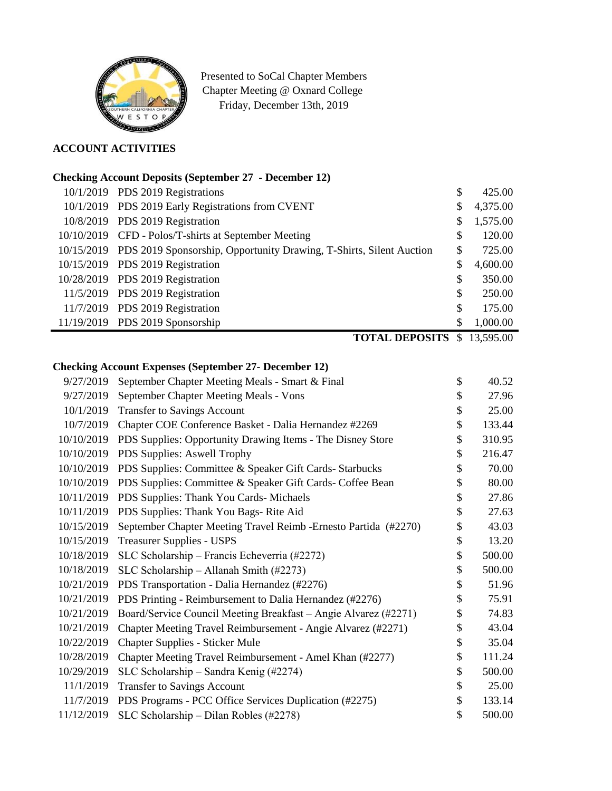

Presented to SoCal Chapter Members Chapter Meeting @ Oxnard College Friday, December 13th, 2019

# **ACCOUNT ACTIVITIES**

## **Checking Account Deposits (September 27 - December 12)**

|  | 10/1/2019 PDS 2019 Registrations                                               | \$ | 425.00   |
|--|--------------------------------------------------------------------------------|----|----------|
|  | 10/1/2019 PDS 2019 Early Registrations from CVENT                              | \$ | 4,375.00 |
|  | 10/8/2019 PDS 2019 Registration                                                | \$ | 1,575.00 |
|  | 10/10/2019 CFD - Polos/T-shirts at September Meeting                           | \$ | 120.00   |
|  | 10/15/2019 PDS 2019 Sponsorship, Opportunity Drawing, T-Shirts, Silent Auction | \$ | 725.00   |
|  | 10/15/2019 PDS 2019 Registration                                               | \$ | 4,600.00 |
|  | 10/28/2019 PDS 2019 Registration                                               | \$ | 350.00   |
|  | 11/5/2019 PDS 2019 Registration                                                | \$ | 250.00   |
|  | 11/7/2019 PDS 2019 Registration                                                | \$ | 175.00   |
|  | 11/19/2019 PDS 2019 Sponsorship                                                | S  | 1,000.00 |
|  |                                                                                |    |          |

**TOTAL DEPOSITS** \$ 13,595.00

## **Checking Account Expenses (September 27- December 12)**

| 9/27/2019  | September Chapter Meeting Meals - Smart & Final                  | \$<br>40.52  |
|------------|------------------------------------------------------------------|--------------|
| 9/27/2019  | September Chapter Meeting Meals - Vons                           | \$<br>27.96  |
| 10/1/2019  | Transfer to Savings Account                                      | \$<br>25.00  |
| 10/7/2019  | Chapter COE Conference Basket - Dalia Hernandez #2269            | \$<br>133.44 |
| 10/10/2019 | PDS Supplies: Opportunity Drawing Items - The Disney Store       | \$<br>310.95 |
| 10/10/2019 | PDS Supplies: Aswell Trophy                                      | \$<br>216.47 |
| 10/10/2019 | PDS Supplies: Committee & Speaker Gift Cards- Starbucks          | \$<br>70.00  |
| 10/10/2019 | PDS Supplies: Committee & Speaker Gift Cards- Coffee Bean        | \$<br>80.00  |
| 10/11/2019 | PDS Supplies: Thank You Cards-Michaels                           | \$<br>27.86  |
| 10/11/2019 | PDS Supplies: Thank You Bags-Rite Aid                            | \$<br>27.63  |
| 10/15/2019 | September Chapter Meeting Travel Reimb - Ernesto Partida (#2270) | \$<br>43.03  |
| 10/15/2019 | <b>Treasurer Supplies - USPS</b>                                 | \$<br>13.20  |
| 10/18/2019 | SLC Scholarship – Francis Echeverria (#2272)                     | \$<br>500.00 |
| 10/18/2019 | SLC Scholarship - Allanah Smith $(\#2273)$                       | \$<br>500.00 |
| 10/21/2019 | PDS Transportation - Dalia Hernandez (#2276)                     | \$<br>51.96  |
| 10/21/2019 | PDS Printing - Reimbursement to Dalia Hernandez (#2276)          | \$<br>75.91  |
| 10/21/2019 | Board/Service Council Meeting Breakfast - Angie Alvarez (#2271)  | \$<br>74.83  |
| 10/21/2019 | Chapter Meeting Travel Reimbursement - Angie Alvarez (#2271)     | \$<br>43.04  |
| 10/22/2019 | <b>Chapter Supplies - Sticker Mule</b>                           | \$<br>35.04  |
| 10/28/2019 | Chapter Meeting Travel Reimbursement - Amel Khan (#2277)         | \$<br>111.24 |
| 10/29/2019 | SLC Scholarship - Sandra Kenig (#2274)                           | \$<br>500.00 |
| 11/1/2019  | <b>Transfer to Savings Account</b>                               | \$<br>25.00  |
| 11/7/2019  | PDS Programs - PCC Office Services Duplication (#2275)           | \$<br>133.14 |
| 11/12/2019 | SLC Scholarship - Dilan Robles (#2278)                           | \$<br>500.00 |